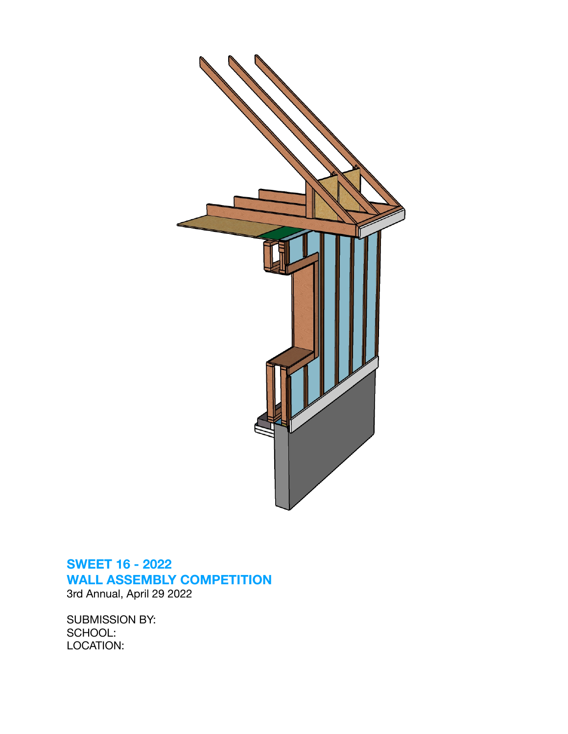

## **SWEET 16 - 2022 WALL ASSEMBLY COMPETITION**  3rd Annual, April 29 2022

SUBMISSION BY: SCHOOL: LOCATION: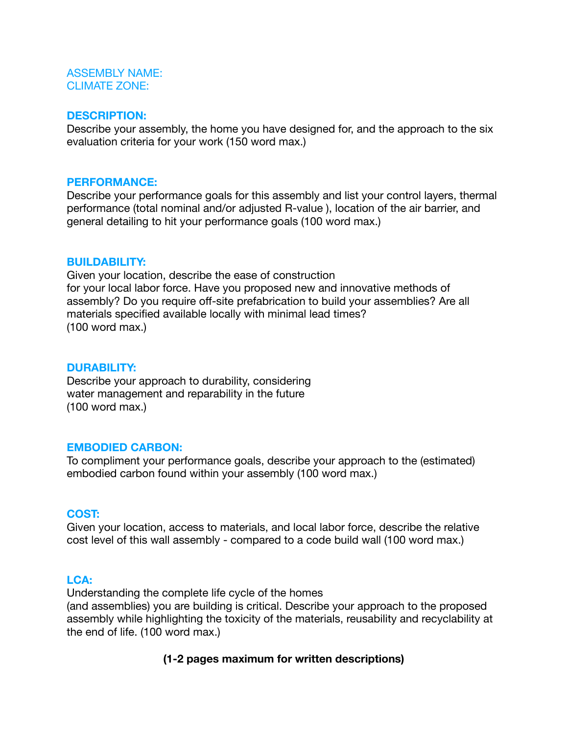#### ASSEMBLY NAME: CLIMATE ZONE:

#### **DESCRIPTION:**

Describe your assembly, the home you have designed for, and the approach to the six evaluation criteria for your work (150 word max.)

#### **PERFORMANCE:**

Describe your performance goals for this assembly and list your control layers, thermal performance (total nominal and/or adjusted R-value ), location of the air barrier, and general detailing to hit your performance goals (100 word max.)

#### **BUILDABILITY:**

Given your location, describe the ease of construction for your local labor force. Have you proposed new and innovative methods of assembly? Do you require off-site prefabrication to build your assemblies? Are all materials specified available locally with minimal lead times? (100 word max.)

#### **DURABILITY:**

Describe your approach to durability, considering water management and reparability in the future (100 word max.)

#### **EMBODIED CARBON:**

To compliment your performance goals, describe your approach to the (estimated) embodied carbon found within your assembly (100 word max.)

#### **COST:**

Given your location, access to materials, and local labor force, describe the relative cost level of this wall assembly - compared to a code build wall (100 word max.)

#### **LCA:**

Understanding the complete life cycle of the homes (and assemblies) you are building is critical. Describe your approach to the proposed assembly while highlighting the toxicity of the materials, reusability and recyclability at the end of life. (100 word max.)

#### **(1-2 pages maximum for written descriptions)**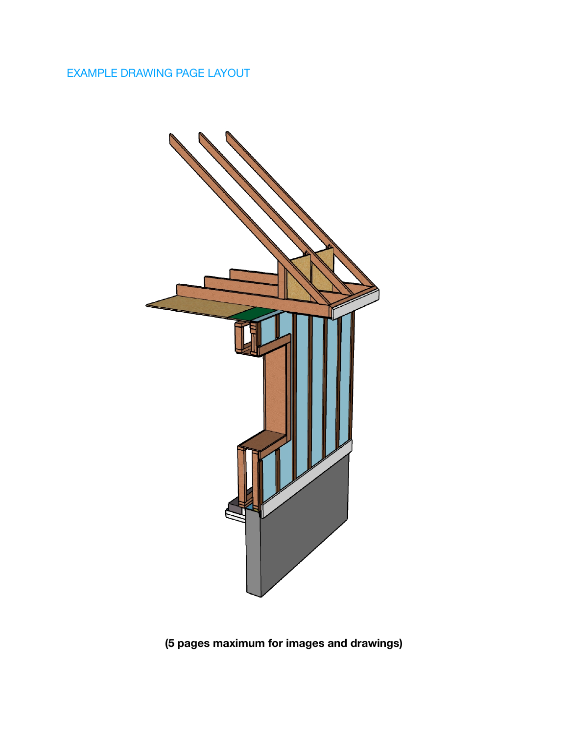## EXAMPLE DRAWING PAGE LAYOUT



# **(5 pages maximum for images and drawings)**